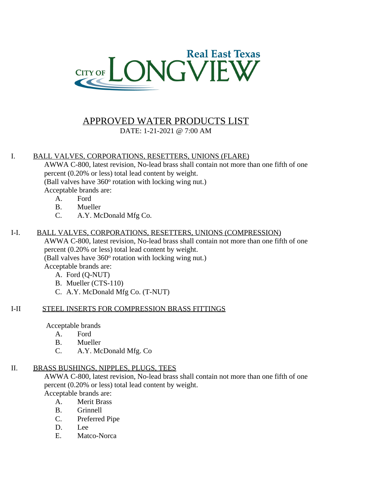

# APPROVED WATER PRODUCTS LIST

DATE: 1-21-2021 @ 7:00 AM

## I. BALL VALVES, CORPORATIONS, RESETTERS, UNIONS (FLARE)

AWWA C-800, latest revision, No-lead brass shall contain not more than one fifth of one percent (0.20% or less) total lead content by weight. (Ball valves have 360° rotation with locking wing nut.) Acceptable brands are:

- A. Ford
- B. Mueller
- C. A.Y. McDonald Mfg Co.

## I-I. BALL VALVES, CORPORATIONS, RESETTERS, UNIONS (COMPRESSION)

AWWA C-800, latest revision, No-lead brass shall contain not more than one fifth of one percent (0.20% or less) total lead content by weight. (Ball valves have 360° rotation with locking wing nut.)

Acceptable brands are:

- A. Ford (Q-NUT)
- B. Mueller (CTS-110)
- C. A.Y. McDonald Mfg Co. (T-NUT)

## I-II STEEL INSERTS FOR COMPRESSION BRASS FITTINGS

Acceptable brands

- A. Ford
- B. Mueller
- C. A.Y. McDonald Mfg. Co

## II. BRASS BUSHINGS, NIPPLES, PLUGS, TEES

AWWA C-800, latest revision, No-lead brass shall contain not more than one fifth of one percent (0.20% or less) total lead content by weight. Acceptable brands are:

A. Merit Brass

- B. Grinnell
- 
- C. Preferred Pipe
- D. Lee
- E. Matco-Norca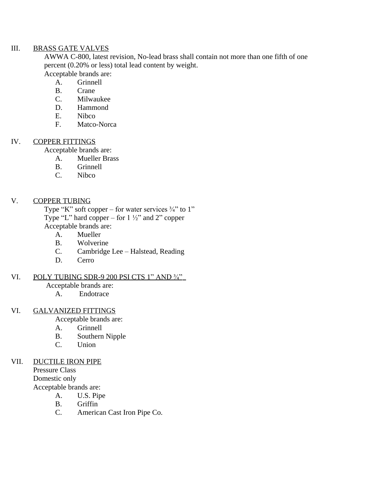### III. BRASS GATE VALVES

AWWA C-800, latest revision, No-lead brass shall contain not more than one fifth of one percent (0.20% or less) total lead content by weight. Acceptable brands are:

- A. Grinnell
- B. Crane
- C. Milwaukee
- D. Hammond
- E. Nibco
- F. Matco-Norca

#### IV. COPPER FITTINGS

- Acceptable brands are:
	- A. Mueller Brass
	- B. Grinnell
	- C. Nibco

## V. COPPER TUBING

Type "K" soft copper – for water services  $\frac{3}{4}$ " to 1" Type "L" hard copper – for  $1\frac{1}{2}$ " and 2" copper Acceptable brands are:

- A. Mueller
- B. Wolverine
- C. Cambridge Lee Halstead, Reading
- D. Cerro

#### VI. POLY TUBING SDR-9 200 PSI CTS 1" AND  $\frac{3}{4}$ "

Acceptable brands are:

A. Endotrace

## VI. GALVANIZED FITTINGS

Acceptable brands are:

- A. Grinnell
- B. Southern Nipple
- C. Union

### VII. DUCTILE IRON PIPE

Pressure Class Domestic only Acceptable brands are:

- A. U.S. Pipe
- B. Griffin
- C. American Cast Iron Pipe Co.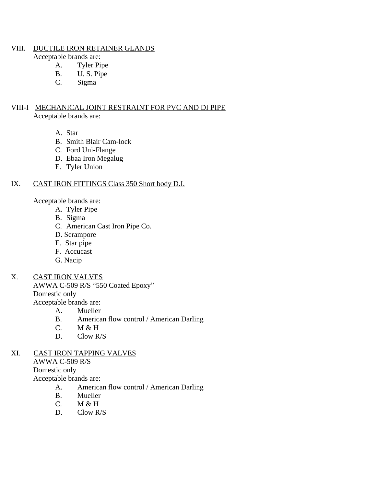#### VIII. DUCTILE IRON RETAINER GLANDS

Acceptable brands are:

- A. Tyler Pipe
- B. U.S. Pipe<br>C. Sigma
- Sigma

### VIII-I MECHANICAL JOINT RESTRAINT FOR PVC AND DI PIPE Acceptable brands are:

A. Star

- B. Smith Blair Cam-lock
- C. Ford Uni-Flange
- D. Ebaa Iron Megalug
- E. Tyler Union

## IX. CAST IRON FITTINGS Class 350 Short body D.I.

Acceptable brands are:

- A. Tyler Pipe
- B. Sigma
- C. American Cast Iron Pipe Co.
- D. Serampore
- E. Star pipe
- F. Accucast
- G. Nacip

## X. CAST IRON VALVES

AWWA C-509 R/S "550 Coated Epoxy" Domestic only Acceptable brands are:

- A. Mueller
- B. American flow control / American Darling
- C. M & H
- D. Clow R/S

### XI. CAST IRON TAPPING VALVES

AWWA C-509 R/S

Domestic only

- A. American flow control / American Darling
- B. Mueller
- C. M & H
- D. Clow R/S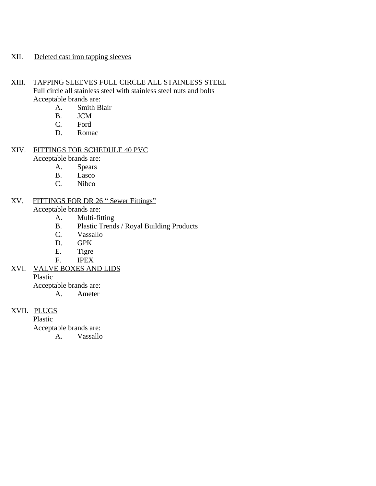#### XII. Deleted cast iron tapping sleeves

XIII. TAPPING SLEEVES FULL CIRCLE ALL STAINLESS STEEL Full circle all stainless steel with stainless steel nuts and bolts Acceptable brands are:

- A. Smith Blair
- B. JCM
- 
- C. Ford<br>D. Roma Romac

## XIV. FITTINGS FOR SCHEDULE 40 PVC

Acceptable brands are:

- A. Spears
- B. Lasco
- C. Nibco

## XV. FITTINGS FOR DR 26 " Sewer Fittings"

Acceptable brands are:

- A. Multi-fitting
- B. Plastic Trends / Royal Building Products
- C. Vassallo
- D. GPK
- E. Tigre
- F. IPEX
- XVI. VALVE BOXES AND LIDS

Plastic

Acceptable brands are:

A. Ameter

## XVII. PLUGS

Plastic Acceptable brands are:

A. Vassallo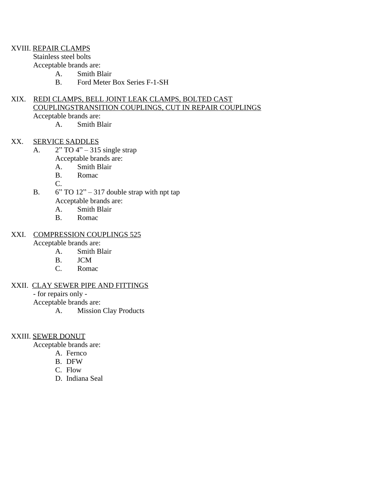#### XVIII. REPAIR CLAMPS

Stainless steel bolts Acceptable brands are:

- A. Smith Blair
- B. Ford Meter Box Series F-1-SH

#### XIX. REDI CLAMPS, BELL JOINT LEAK CLAMPS, BOLTED CAST COUPLINGSTRANSITION COUPLINGS, CUT IN REPAIR COUPLINGS Acceptable brands are:

A. Smith Blair

#### XX. SERVICE SADDLES

- A.  $2"$  TO  $4"$  315 single strap Acceptable brands are:
	- A. Smith Blair
	- B. Romac

C.

- B.  $6"$  TO  $12" 317$  double strap with npt tap Acceptable brands are:
	- A. Smith Blair
	- B. Romac

## XXI. COMPRESSION COUPLINGS 525

Acceptable brands are:

- A. Smith Blair
- B. JCM
- C. Romac

#### XXII. CLAY SEWER PIPE AND FITTINGS

- for repairs only -

Acceptable brands are:

A. Mission Clay Products

#### XXIII. SEWER DONUT

- A. Fernco
- B. DFW
- C. Flow
- D. Indiana Seal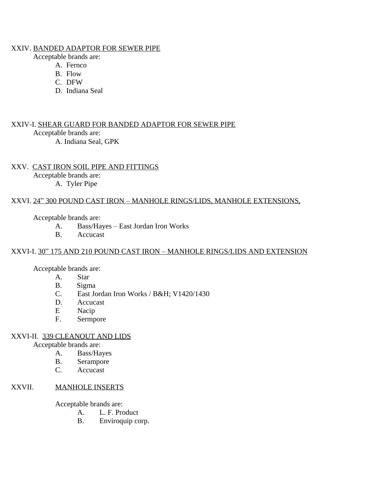#### XXIV. BANDED ADAPTOR FOR SEWER PIPE

Acceptable brands are:

- A. Fernco
- B. Flow
- C. DFW
- D. Indiana Seal

XXIV-I. SHEAR GUARD FOR BANDED ADAPTOR FOR SEWER PIPE Acceptable brands are: A. Indiana Seal, GPK

XXV. CAST IRON SOIL PIPE AND FITTINGS Acceptable brands are: A. Tyler Pipe

#### XXVI. 24" 300 POUND CAST IRON – MANHOLE RINGS/LIDS, MANHOLE EXTENSIONS,

Acceptable brands are:

- A. Bass/Hayes East Jordan Iron Works
- B. Accucast

#### XXVI-I. 30" 175 AND 210 POUND CAST IRON – MANHOLE RINGS/LIDS AND EXTENSION

Acceptable brands are:

- A. Star
- B. Sigma
- C. East Jordan Iron Works / B&H; V1420/1430
- D. Accucast<br>E Nacip
- Nacip
- F. Sermpore

#### XXVI-II. 339 CLEANOUT AND LIDS

Acceptable brands are:

- A. Bass/Hayes
- B. Serampore
- C. Accucast

#### XXVII. MANHOLE INSERTS

- A. L. F. Product
- B. Enviroquip corp.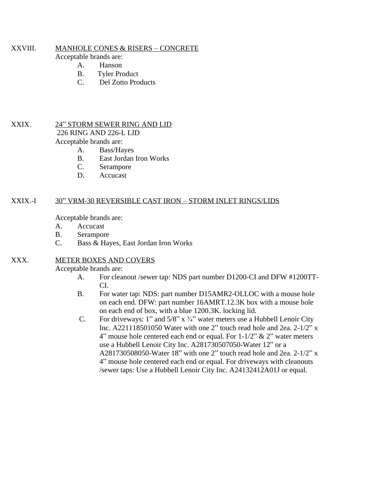#### XXVIII. MANHOLE CONES & RISERS – CONCRETE

Acceptable brands are:

- A. Hanson
- B. Tyler Product
- C. Del Zotto Products

#### XXIX. 24" STORM SEWER RING AND LID

226 RING AND 226-L LID

Acceptable brands are:

- A. Bass/Hayes
	- B. East Jordan Iron Works
	- C. Serampore
	- D. Accucast

#### XXIX.-I 30" VRM-30 REVERSIBLE CAST IRON – STORM INLET RINGS/LIDS

Acceptable brands are:

- A. Accucast
- B. Serampore
- C. Bass & Hayes, East Jordan Iron Works

#### XXX. METER BOXES AND COVERS

- A. For cleanout /sewer tap: NDS part number D1200-CI and DFW #1200TT-CI.
- B. For water tap: NDS: part number D15AMR2-OLLOC with a mouse hole on each end. DFW: part number 16AMRT.12.3K box with a mouse hole on each end of box, with a blue 1200.3K. locking lid.
- C. For driveways: 1" and  $5/8$ " x  $\frac{3}{4}$ " water meters use a Hubbell Lenoir City Inc. A221118501050 Water with one 2" touch read hole and 2ea.  $2-1/2$ " x 4" mouse hole centered each end or equal. For  $1-1/2$ " & 2" water meters use a Hubbell Lenoir City Inc. A281730507050-Water 12" or a A281730508050-Water 18" with one 2" touch read hole and 2ea. 2-1/2" x 4" mouse hole centered each end or equal. For driveways with cleanouts /sewer taps: Use a Hubbell Lenoir City Inc. A24132412A01J or equal.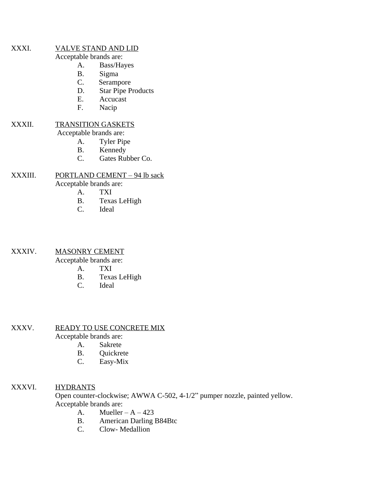#### XXXI. VALVE STAND AND LID

Acceptable brands are:

- A. Bass/Hayes
- B. Sigma
- C. Serampore
- D. Star Pipe Products
- E. Accucast
- F. Nacip

#### XXXII. TRANSITION GASKETS

Acceptable brands are:

- A. Tyler Pipe
- B. Kennedy
- C. Gates Rubber Co.

# XXXIII. PORTLAND CEMENT – 94 lb sack

Acceptable brands are:

- A. TXI
- B. Texas LeHigh
- C. Ideal

#### XXXIV. MASONRY CEMENT

Acceptable brands are:

- A. TXI
- B. Texas LeHigh<br>C. Ideal
- Ideal

#### XXXV. READY TO USE CONCRETE MIX

Acceptable brands are:

- A. Sakrete
- B. Quickrete
- C. Easy-Mix

### XXXVI. HYDRANTS

Open counter-clockwise; AWWA C-502, 4-1/2" pumper nozzle, painted yellow. Acceptable brands are:

- A. Mueller  $A 423$
- B. American Darling B84Btc<br>C. Clow-Medallion
- Clow-Medallion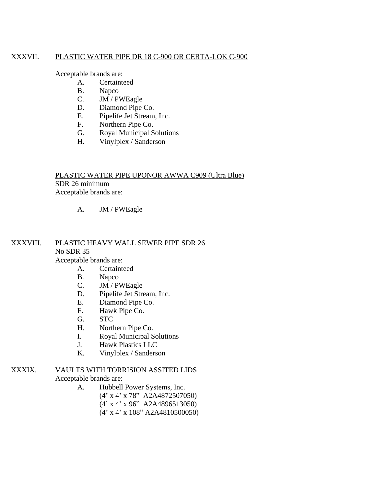#### XXXVII. PLASTIC WATER PIPE DR 18 C-900 OR CERTA-LOK C-900

Acceptable brands are:

- A. Certainteed
- B. Napco
- C. JM / PWEagle
- D. Diamond Pipe Co.
- E. Pipelife Jet Stream, Inc.
- F. Northern Pipe Co.
- G. Royal Municipal Solutions
- H. Vinylplex / Sanderson

## PLASTIC WATER PIPE UPONOR AWWA C909 (Ultra Blue) SDR 26 minimum Acceptable brands are:

### A. JM / PWEagle

#### XXXVIII. PLASTIC HEAVY WALL SEWER PIPE SDR 26 No SDR 35 Acceptable brands are:

A. Certainteed

- B. Napco<br>C. JM / P
- JM / PWEagle
- D. Pipelife Jet Stream, Inc.
- E. Diamond Pipe Co.<br>F. Hawk Pipe Co.
- Hawk Pipe Co.
- G. STC
- H. Northern Pipe Co.
- I. Royal Municipal Solutions
- J. Hawk Plastics LLC
- K. Vinylplex / Sanderson

#### XXXIX. VAULTS WITH TORRISION ASSITED LIDS Acceptable brands are:

- A. Hubbell Power Systems, Inc. (4' x 4' x 78" A2A4872507050)
	-
	- (4' x 4' x 96" A2A4896513050)
	- (4' x 4' x 108" A2A4810500050)